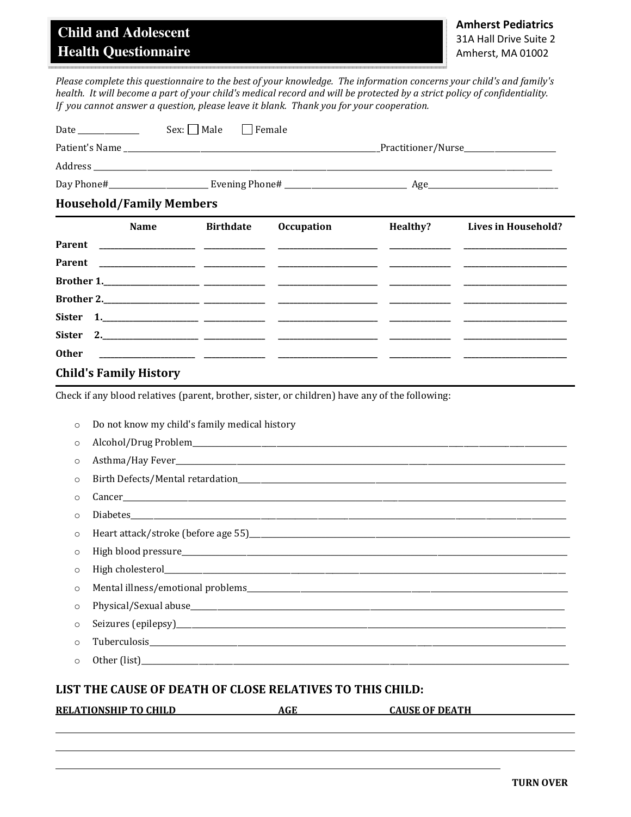## **Child and Adolescent Health Questionnaire**

Please complete this questionnaire to the best of your knowledge. The information concerns your child's and family's health. It will become a part of your child's medical record and will be protected by a strict policy of confidentiality. If you cannot answer a question, please leave it blank. Thank you for your cooperation.

| <b>Household/Family Members</b>   |                                                                                                                                                                                                                                |                                         |  |
|-----------------------------------|--------------------------------------------------------------------------------------------------------------------------------------------------------------------------------------------------------------------------------|-----------------------------------------|--|
|                                   |                                                                                                                                                                                                                                | Age                                     |  |
|                                   | Address and the set of the set of the set of the set of the set of the set of the set of the set of the set of the set of the set of the set of the set of the set of the set of the set of the set of the set of the set of t |                                         |  |
|                                   |                                                                                                                                                                                                                                | _Practitioner/Nurse____________________ |  |
| Date<br><u> The Communication</u> | $Sex:$ Male Female                                                                                                                                                                                                             |                                         |  |

|              | <b>Name</b>                   | <b>Birthdate</b> | <b>Occupation</b> | Healthy? | Lives in Household? |
|--------------|-------------------------------|------------------|-------------------|----------|---------------------|
|              |                               |                  |                   |          |                     |
|              |                               |                  |                   |          |                     |
|              |                               |                  |                   |          |                     |
|              |                               |                  |                   |          |                     |
|              |                               |                  |                   |          |                     |
|              |                               |                  |                   |          |                     |
| <b>Other</b> |                               |                  |                   |          |                     |
|              | <b>Child's Family History</b> |                  |                   |          |                     |

Check if any blood relatives (parent, brother, sister, or children) have any of the following:

|          | <b>RELATIONSHIP TO CHILD</b>                              | <b>AGE</b> | <b>CAUSE OF DEATH</b> |  |
|----------|-----------------------------------------------------------|------------|-----------------------|--|
|          | LIST THE CAUSE OF DEATH OF CLOSE RELATIVES TO THIS CHILD: |            |                       |  |
| $\circ$  |                                                           |            |                       |  |
| $\Omega$ |                                                           |            |                       |  |
| $\circ$  |                                                           |            |                       |  |
| $\circ$  |                                                           |            |                       |  |
| $\circ$  |                                                           |            |                       |  |
| $\Omega$ |                                                           |            |                       |  |
| $\circ$  |                                                           |            |                       |  |
| $\circ$  |                                                           |            |                       |  |
| $\Omega$ |                                                           |            |                       |  |
| $\circ$  |                                                           |            |                       |  |
| $\Omega$ |                                                           |            |                       |  |
| $\circ$  |                                                           |            |                       |  |
| $\circ$  |                                                           |            |                       |  |
| $\circ$  | Do not know my child's family medical history             |            |                       |  |